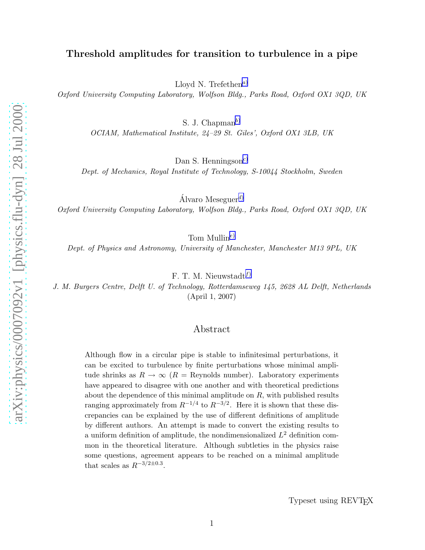# Threshold amplitudes for transition to turbulence in a pipe

Lloyd N. Trefethen<sup>[a](#page-7-0))</sup>

Oxford University Computing Laboratory, Wolfson Bldg., Parks Road, Oxford OX1 3QD, UK

S. J. Chapman<sup>[b](#page-7-0))</sup>

OCIAM, Mathematical Institute, 24–29 St. Giles', Oxford OX1 3LB, UK

Dan S. Henningson<sup>[c](#page-7-0)</sup>)

Dept. of Mechanics, Royal Institute of Technology, S-10044 Stockholm, Sweden

Álvaro Meseguer<sup>[d](#page-7-0))</sup>

Oxford University Computing Laboratory, Wolfson Bldg., Parks Road, Oxford OX1 3QD, UK

Tom Mullin<sup>[e](#page-7-0))</sup>

Dept. of Physics and Astronomy, University of Manchester, Manchester M13 9PL, UK

F. T. M. Nieuwstadt $f$ 

J. M. Burgers Centre, Delft U. of Technology, Rotterdamseweg 145, 2628 AL Delft, Netherlands (April 1, 2007)

# Abstract

Although flow in a circular pipe is stable to infinitesimal perturbations, it can be excited to turbulence by finite perturbations whose minimal amplitude shrinks as  $R \to \infty$  ( $R =$  Reynolds number). Laboratory experiments have appeared to disagree with one another and with theoretical predictions about the dependence of this minimal amplitude on  $R$ , with published results ranging approximately from  $R^{-1/4}$  to  $R^{-3/2}$ . Here it is shown that these discrepancies can be explained by the use of different definitions of amplitude by different authors. An attempt is made to convert the existing results to a uniform definition of amplitude, the nondimensionalized  $L^2$  definition common in the theoretical literature. Although subtleties in the physics raise some questions, agreement appears to be reached on a minimal amplitude that scales as  $R^{-3/2 \pm 0.3}$ .

Typeset using REVTEX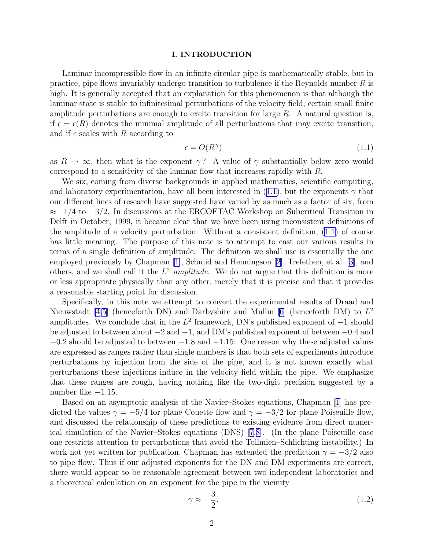## I. INTRODUCTION

<span id="page-1-0"></span>Laminar incompressible flow in an infinite circular pipe is mathematically stable, but in practice, pipe flows invariably undergo transition to turbulence if the Reynolds number R is high. It is generally accepted that an explanation for this phenomenon is that although the laminar state is stable to infinitesimal perturbations of the velocity field, certain small finite amplitude perturbations are enough to excite transition for large  $R$ . A natural question is, if  $\epsilon = \epsilon(R)$  denotes the minimal amplitude of all perturbations that may excite transition, and if  $\epsilon$  scales with R according to

$$
\epsilon = O(R^{\gamma})\tag{1.1}
$$

as  $R \to \infty$ , then what is the exponent  $\gamma$ ? A value of  $\gamma$  substantially below zero would correspond to a sensitivity of the laminar flow that increases rapidly with R.

We six, coming from diverse backgrounds in applied mathematics, scientific computing, and laboratory experimentation, have all been interested in (1.1), but the exponents  $\gamma$  that our different lines of research have suggested have varied by as much as a factor of six, from ≈−1/4 to −3/2. In discussions at the ERCOFTAC Workshop on Subcritical Transition in Delft in October, 1999, it became clear that we have been using inconsistent definitions of the amplitude of a velocity perturbation. Without a consistent definition, (1.1) of course has little meaning. The purpose of this note is to attempt to cast our various results in terms of a single definition of amplitude. The definition we shall use is essentially the one employed previously by Chapman[[1\]](#page-7-0), Schmid and Henningson [\[2](#page-7-0)], Trefethen, et al. [\[3](#page-7-0)], and others, and we shall call it the  $L^2$  amplitude. We do not argue that this definition is more or less appropriate physically than any other, merely that it is precise and that it provides a reasonable starting point for discussion.

Specifically, in this note we attempt to convert the experimental results of Draad and Nieuwstadt [\[4,5](#page-7-0)] (henceforth DN) and Darbyshire and Mullin [\[6\]](#page-7-0) (henceforth DM) to  $L^2$ amplitudes. We conclude that in the  $L^2$  framework, DN's published exponent of  $-1$  should be adjusted to between about −2 and −1, and DM's published exponent of between −0.4 and  $-0.2$  should be adjusted to between  $-1.8$  and  $-1.15$ . One reason why these adjusted values are expressed as ranges rather than single numbers is that both sets of experiments introduce perturbations by injection from the side of the pipe, and it is not known exactly what perturbations these injections induce in the velocity field within the pipe. We emphasize that these ranges are rough, having nothing like the two-digit precision suggested by a number like  $-1.15$ .

Based on an asymptotic analysis of the Navier–Stokes equations, Chapman[[1\]](#page-7-0) has predicted the values  $\gamma = -5/4$  for plane Couette flow and  $\gamma = -3/2$  for plane Poiseuille flow, and discussed the relationship of these predictions to existing evidence from direct numerical simulation of the Navier–Stokes equations (DNS)[[7,8\]](#page-7-0). (In the plane Poiseuille case one restricts attention to perturbations that avoid the Tollmien–Schlichting instability.) In work not yet written for publication, Chapman has extended the prediction  $\gamma = -3/2$  also to pipe flow. Thus if our adjusted exponents for the DN and DM experiments are correct, there would appear to be reasonable agreement between two independent laboratories and a theoretical calculation on an exponent for the pipe in the vicinity

$$
\gamma \approx -\frac{3}{2}.\tag{1.2}
$$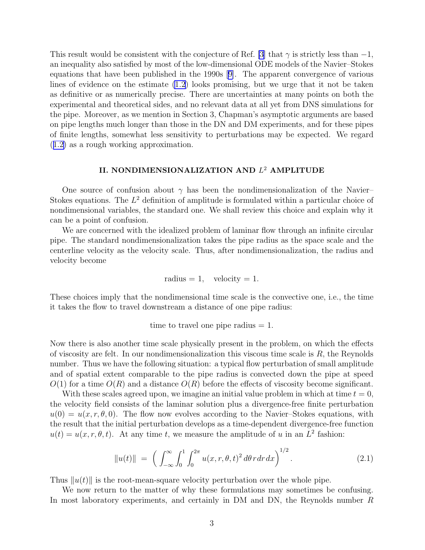<span id="page-2-0"></span>This result would be consistent with the conjecture of Ref. [\[3](#page-7-0)] that  $\gamma$  is strictly less than -1, an inequality also satisfied by most of the low-dimensional ODE models of the Navier–Stokes equations that have been published in the 1990s[[9\]](#page-7-0). The apparent convergence of various lines of evidence on the estimate [\(1.2](#page-1-0)) looks promising, but we urge that it not be taken as definitive or as numerically precise. There are uncertainties at many points on both the experimental and theoretical sides, and no relevant data at all yet from DNS simulations for the pipe. Moreover, as we mention in Section 3, Chapman's asymptotic arguments are based on pipe lengths much longer than those in the DN and DM experiments, and for these pipes of finite lengths, somewhat less sensitivity to perturbations may be expected. We regard ([1.2\)](#page-1-0) as a rough working approximation.

# II. NONDIMENSIONALIZATION AND  $L^2$  AMPLITUDE

One source of confusion about  $\gamma$  has been the nondimensionalization of the Navier– Stokes equations. The  $L^2$  definition of amplitude is formulated within a particular choice of nondimensional variables, the standard one. We shall review this choice and explain why it can be a point of confusion.

We are concerned with the idealized problem of laminar flow through an infinite circular pipe. The standard nondimensionalization takes the pipe radius as the space scale and the centerline velocity as the velocity scale. Thus, after nondimensionalization, the radius and velocity become

radius = 1, velocity = 1.

These choices imply that the nondimensional time scale is the convective one, i.e., the time it takes the flow to travel downstream a distance of one pipe radius:

time to travel one pipe radius  $= 1$ .

Now there is also another time scale physically present in the problem, on which the effects of viscosity are felt. In our nondimensionalization this viscous time scale is  $R$ , the Reynolds number. Thus we have the following situation: a typical flow perturbation of small amplitude and of spatial extent comparable to the pipe radius is convected down the pipe at speed  $O(1)$  for a time  $O(R)$  and a distance  $O(R)$  before the effects of viscosity become significant.

With these scales agreed upon, we imagine an initial value problem in which at time  $t = 0$ , the velocity field consists of the laminar solution plus a divergence-free finite perturbation  $u(0) = u(x, r, \theta, 0)$ . The flow now evolves according to the Navier–Stokes equations, with the result that the initial perturbation develops as a time-dependent divergence-free function  $u(t) = u(x, r, \theta, t)$ . At any time t, we measure the amplitude of u in an  $L^2$  fashion:

$$
||u(t)|| = \left( \int_{-\infty}^{\infty} \int_{0}^{1} \int_{0}^{2\pi} u(x, r, \theta, t)^{2} d\theta r dr dx \right)^{1/2}.
$$
 (2.1)

Thus  $||u(t)||$  is the root-mean-square velocity perturbation over the whole pipe.

We now return to the matter of why these formulations may sometimes be confusing. In most laboratory experiments, and certainly in DM and DN, the Reynolds number R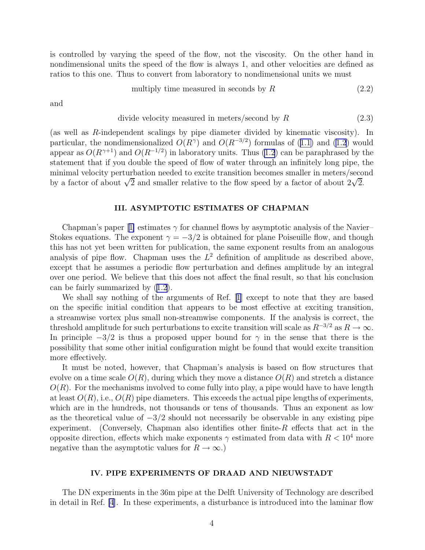<span id="page-3-0"></span>is controlled by varying the speed of the flow, not the viscosity. On the other hand in nondimensional units the speed of the flow is always 1, and other velocities are defined as ratios to this one. Thus to convert from laboratory to nondimensional units we must

multiply time measured in seconds by 
$$
R
$$
 (2.2)

and

divide velocity measured in meters/second by 
$$
R
$$
 (2.3)

(as well as R-independent scalings by pipe diameter divided by kinematic viscosity). In particular, the nondimensionalized  $O(R^{\gamma})$  and  $O(R^{-3/2})$  formulas of ([1.1\)](#page-1-0) and [\(1.2](#page-1-0)) would appear as  $O(R^{\gamma+1})$  and  $O(R^{-1/2})$  in laboratory units. Thus [\(1.2](#page-1-0)) can be paraphrased by the statement that if you double the speed of flow of water through an infinitely long pipe, the minimal velocity perturbation needed to excite transition becomes smaller in meters/second by a factor of about  $\sqrt{2}$  and smaller relative to the flow speed by a factor of about  $2\sqrt{2}$ .

#### III. ASYMPTOTIC ESTIMATES OF CHAPMAN

Chapman'spaper [[1\]](#page-7-0) estimates  $\gamma$  for channel flows by asymptotic analysis of the Navier– Stokes equations. The exponent  $\gamma = -3/2$  is obtained for plane Poiseuille flow, and though this has not yet been written for publication, the same exponent results from an analogous analysis of pipe flow. Chapman uses the  $L^2$  definition of amplitude as described above, except that he assumes a periodic flow perturbation and defines amplitude by an integral over one period. We believe that this does not affect the final result, so that his conclusion can be fairly summarized by ([1.2\)](#page-1-0).

We shall say nothing of the arguments of Ref. [\[1\]](#page-7-0) except to note that they are based on the specific initial condition that appears to be most effective at exciting transition, a streamwise vortex plus small non-streamwise components. If the analysis is correct, the threshold amplitude for such perturbations to excite transition will scale as  $R^{-3/2}$  as  $R \to \infty$ . In principle  $-3/2$  is thus a proposed upper bound for  $\gamma$  in the sense that there is the possibility that some other initial configuration might be found that would excite transition more effectively.

It must be noted, however, that Chapman's analysis is based on flow structures that evolve on a time scale  $O(R)$ , during which they move a distance  $O(R)$  and stretch a distance  $O(R)$ . For the mechanisms involved to come fully into play, a pipe would have to have length at least  $O(R)$ , i.e.,  $O(R)$  pipe diameters. This exceeds the actual pipe lengths of experiments, which are in the hundreds, not thousands or tens of thousands. Thus an exponent as low as the theoretical value of  $-3/2$  should not necessarily be observable in any existing pipe<br>experiment. (Conversely, Chapman also identifies other finite-R effects that act in the (Conversely, Chapman also identifies other finite- $R$  effects that act in the opposite direction, effects which make exponents  $\gamma$  estimated from data with  $R < 10^4$  more negative than the asymptotic values for  $R \to \infty$ .)

## IV. PIPE EXPERIMENTS OF DRAAD AND NIEUWSTADT

The DN experiments in the 36m pipe at the Delft University of Technology are described in detail in Ref. [\[4](#page-7-0)]. In these experiments, a disturbance is introduced into the laminar flow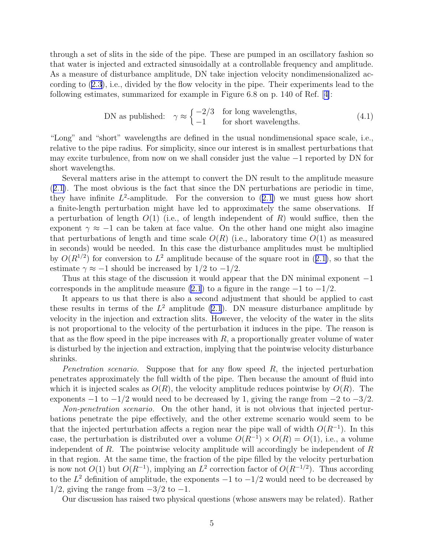through a set of slits in the side of the pipe. These are pumped in an oscillatory fashion so that water is injected and extracted sinusoidally at a controllable frequency and amplitude. As a measure of disturbance amplitude, DN take injection velocity nondimensionalized according to ([2.3\)](#page-3-0), i.e., divided by the flow velocity in the pipe. Their experiments lead to the following estimates, summarized for example in Figure 6.8 on p. 140 of Ref.[[4\]](#page-7-0):

DN as published: 
$$
\gamma \approx \begin{cases} -2/3 & \text{for long wavelengths,} \\ -1 & \text{for short wavelengths.} \end{cases}
$$
 (4.1)

"Long" and "short" wavelengths are defined in the usual nondimensional space scale, i.e., relative to the pipe radius. For simplicity, since our interest is in smallest perturbations that may excite turbulence, from now on we shall consider just the value −1 reported by DN for short wavelengths.

Several matters arise in the attempt to convert the DN result to the amplitude measure ([2.1\)](#page-2-0). The most obvious is the fact that since the DN perturbations are periodic in time, they have infinite  $L^2$ -amplitude. For the conversion to  $(2.1)$  $(2.1)$  we must guess how short a finite-length perturbation might have led to approximately the same observations. If a perturbation of length  $O(1)$  (i.e., of length independent of R) would suffice, then the exponent  $\gamma \approx -1$  can be taken at face value. On the other hand one might also imagine that perturbations of length and time scale  $O(R)$  (i.e., laboratory time  $O(1)$ ) as measured in seconds) would be needed. In this case the disturbance amplitudes must be multiplied by  $O(R^{1/2})$  for conversion to  $L^2$  amplitude because of the square root in ([2.1\)](#page-2-0), so that the estimate  $\gamma \approx -1$  should be increased by 1/2 to  $-\frac{1}{2}$ .

Thus at this stage of the discussion it would appear that the DN minimal exponent  $-1$ corresponds in the amplitude measure [\(2.1](#page-2-0)) to a figure in the range  $-1$  to  $-1/2$ .

It appears to us that there is also a second adjustment that should be applied to cast these results in terms of the  $L^2$  amplitude [\(2.1](#page-2-0)). DN measure disturbance amplitude by velocity in the injection and extraction slits. However, the velocity of the water in the slits is not proportional to the velocity of the perturbation it induces in the pipe. The reason is that as the flow speed in the pipe increases with  $R$ , a proportionally greater volume of water is disturbed by the injection and extraction, implying that the pointwise velocity disturbance shrinks.

*Penetration scenario.* Suppose that for any flow speed  $R$ , the injected perturbation penetrates approximately the full width of the pipe. Then because the amount of fluid into which it is injected scales as  $O(R)$ , the velocity amplitude reduces pointwise by  $O(R)$ . The exponents  $-1$  to  $-1/2$  would need to be decreased by 1, giving the range from  $-2$  to  $-3/2$ .

Non-penetration scenario. On the other hand, it is not obvious that injected perturbations penetrate the pipe effectively, and the other extreme scenario would seem to be that the injected perturbation affects a region near the pipe wall of width  $O(R^{-1})$ . In this case, the perturbation is distributed over a volume  $O(R^{-1}) \times O(R) = O(1)$ , i.e., a volume independent of  $R$ . The pointwise velocity amplitude will accordingly be independent of  $R$ in that region. At the same time, the fraction of the pipe filled by the velocity perturbation is now not  $O(1)$  but  $O(R^{-1})$ , implying an  $L^2$  correction factor of  $O(R^{-1/2})$ . Thus according to the  $L^2$  definition of amplitude, the exponents  $-1$  to  $-1/2$  would need to be decreased by  $1/2$ , giving the range from  $-3/2$  to  $-1$ .

Our discussion has raised two physical questions (whose answers may be related). Rather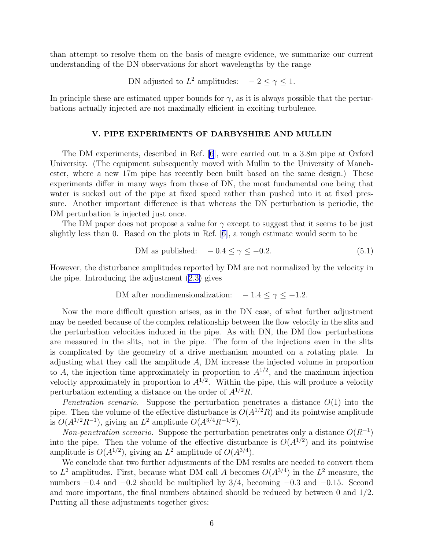than attempt to resolve them on the basis of meagre evidence, we summarize our current understanding of the DN observations for short wavelengths by the range

DN adjusted to  $L^2$  amplitudes:  $-2 \leq \gamma \leq 1$ .

In principle these are estimated upper bounds for  $\gamma$ , as it is always possible that the perturbations actually injected are not maximally efficient in exciting turbulence.

### V. PIPE EXPERIMENTS OF DARBYSHIRE AND MULLIN

The DM experiments, described in Ref. [\[6](#page-7-0)], were carried out in a 3.8m pipe at Oxford University. (The equipment subsequently moved with Mullin to the University of Manchester, where a new 17m pipe has recently been built based on the same design.) These experiments differ in many ways from those of DN, the most fundamental one being that water is sucked out of the pipe at fixed speed rather than pushed into it at fixed pressure. Another important difference is that whereas the DN perturbation is periodic, the DM perturbation is injected just once.

The DM paper does not propose a value for  $\gamma$  except to suggest that it seems to be just slightly less than 0. Based on the plots in Ref.[[6\]](#page-7-0), a rough estimate would seem to be

$$
DM as published: \quad -0.4 \le \gamma \le -0.2. \tag{5.1}
$$

However, the disturbance amplitudes reported by DM are not normalized by the velocity in the pipe. Introducing the adjustment ([2.3\)](#page-3-0) gives

$$
DM after nondimensionalization: -1.4 \le \gamma \le -1.2.
$$

Now the more difficult question arises, as in the DN case, of what further adjustment may be needed because of the complex relationship between the flow velocity in the slits and the perturbation velocities induced in the pipe. As with DN, the DM flow perturbations are measured in the slits, not in the pipe. The form of the injections even in the slits is complicated by the geometry of a drive mechanism mounted on a rotating plate. In adjusting what they call the amplitude  $A$ , DM increase the injected volume in proportion to A, the injection time approximately in proportion to  $A^{1/2}$ , and the maximum injection velocity approximately in proportion to  $A^{1/2}$ . Within the pipe, this will produce a velocity perturbation extending a distance on the order of  $A^{1/2}R$ .

*Penetration scenario.* Suppose the perturbation penetrates a distance  $O(1)$  into the pipe. Then the volume of the effective disturbance is  $O(A^{1/2}R)$  and its pointwise amplitude is  $O(A^{1/2}R^{-1})$ , giving an  $L^2$  amplitude  $O(A^{3/4}R^{-1/2})$ .

Non-penetration scenario. Suppose the perturbation penetrates only a distance  $O(R^{-1})$ into the pipe. Then the volume of the effective disturbance is  $O(A^{1/2})$  and its pointwise amplitude is  $O(A^{1/2})$ , giving an  $L^2$  amplitude of  $O(A^{3/4})$ .

We conclude that two further adjustments of the DM results are needed to convert them to  $L^2$  amplitudes. First, because what DM call A becomes  $O(A^{3/4})$  in the  $L^2$  measure, the numbers  $-0.4$  and  $-0.2$  should be multiplied by 3/4, becoming  $-0.3$  and  $-0.15$ . Second and more important, the final numbers obtained should be reduced by between 0 and 1/2. Putting all these adjustments together gives: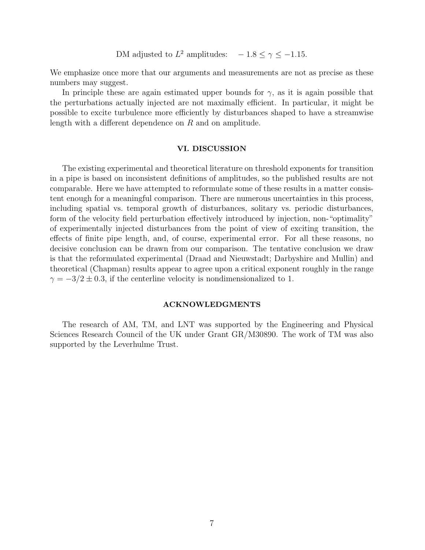DM adjusted to  $L^2$  amplitudes:  $-1.8 \le \gamma \le -1.15$ .

We emphasize once more that our arguments and measurements are not as precise as these numbers may suggest.

In principle these are again estimated upper bounds for  $\gamma$ , as it is again possible that the perturbations actually injected are not maximally efficient. In particular, it might be possible to excite turbulence more efficiently by disturbances shaped to have a streamwise length with a different dependence on R and on amplitude.

### VI. DISCUSSION

The existing experimental and theoretical literature on threshold exponents for transition in a pipe is based on inconsistent definitions of amplitudes, so the published results are not comparable. Here we have attempted to reformulate some of these results in a matter consistent enough for a meaningful comparison. There are numerous uncertainties in this process, including spatial vs. temporal growth of disturbances, solitary vs. periodic disturbances, form of the velocity field perturbation effectively introduced by injection, non-"optimality" of experimentally injected disturbances from the point of view of exciting transition, the effects of finite pipe length, and, of course, experimental error. For all these reasons, no decisive conclusion can be drawn from our comparison. The tentative conclusion we draw is that the reformulated experimental (Draad and Nieuwstadt; Darbyshire and Mullin) and theoretical (Chapman) results appear to agree upon a critical exponent roughly in the range  $\gamma = -3/2 \pm 0.3$ , if the centerline velocity is nondimensionalized to 1.

#### ACKNOWLEDGMENTS

The research of AM, TM, and LNT was supported by the Engineering and Physical Sciences Research Council of the UK under Grant GR/M30890. The work of TM was also supported by the Leverhulme Trust.